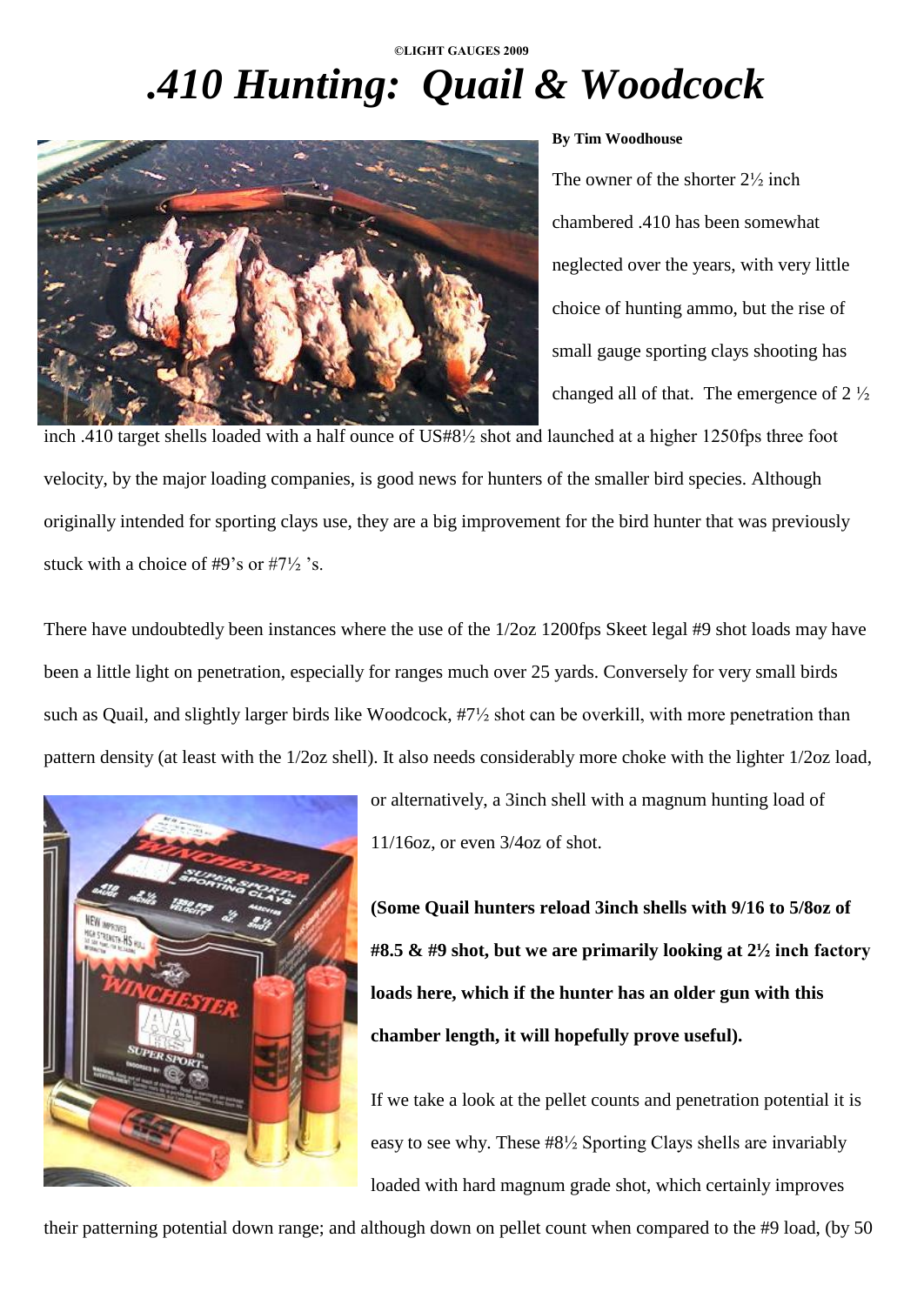# *.410 Hunting: Quail & Woodcock*



## **By Tim Woodhouse**

The owner of the shorter 2½ inch chambered .410 has been somewhat neglected over the years, with very little choice of hunting ammo, but the rise of small gauge sporting clays shooting has changed all of that. The emergence of  $2\frac{1}{2}$ 

inch .410 target shells loaded with a half ounce of US#8½ shot and launched at a higher 1250fps three foot velocity, by the major loading companies, is good news for hunters of the smaller bird species. Although originally intended for sporting clays use, they are a big improvement for the bird hunter that was previously stuck with a choice of #9's or  $#7\frac{1}{2}$ 's.

There have undoubtedly been instances where the use of the 1/2oz 1200fps Skeet legal #9 shot loads may have been a little light on penetration, especially for ranges much over 25 yards. Conversely for very small birds such as Quail, and slightly larger birds like Woodcock, #7½ shot can be overkill, with more penetration than pattern density (at least with the 1/2oz shell). It also needs considerably more choke with the lighter 1/2oz load,



or alternatively, a 3inch shell with a magnum hunting load of 11/16oz, or even 3/4oz of shot.

**(Some Quail hunters reload 3inch shells with 9/16 to 5/8oz of #8.5 & #9 shot, but we are primarily looking at 2½ inch factory loads here, which if the hunter has an older gun with this chamber length, it will hopefully prove useful).**

If we take a look at the pellet counts and penetration potential it is easy to see why. These #8½ Sporting Clays shells are invariably loaded with hard magnum grade shot, which certainly improves

their patterning potential down range; and although down on pellet count when compared to the #9 load, (by 50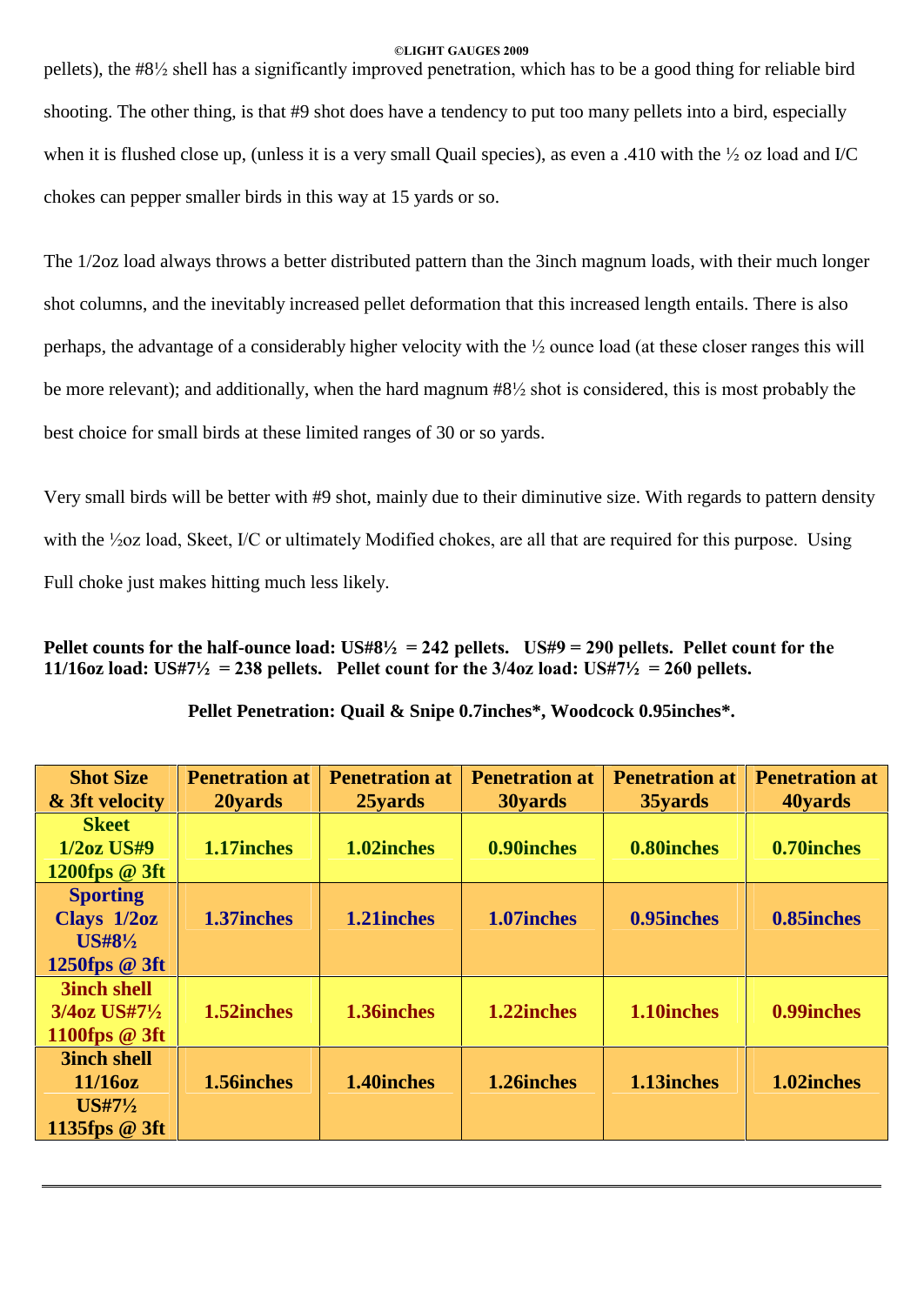pellets), the #8½ shell has a significantly improved penetration, which has to be a good thing for reliable bird shooting. The other thing, is that #9 shot does have a tendency to put too many pellets into a bird, especially when it is flushed close up, (unless it is a very small Quail species), as even a .410 with the  $\frac{1}{2}$  oz load and I/C chokes can pepper smaller birds in this way at 15 yards or so.

The 1/2oz load always throws a better distributed pattern than the 3inch magnum loads, with their much longer shot columns, and the inevitably increased pellet deformation that this increased length entails. There is also perhaps, the advantage of a considerably higher velocity with the ½ ounce load (at these closer ranges this will be more relevant); and additionally, when the hard magnum #8½ shot is considered, this is most probably the best choice for small birds at these limited ranges of 30 or so yards.

Very small birds will be better with #9 shot, mainly due to their diminutive size. With regards to pattern density with the <sup>1</sup>/20z load, Skeet, I/C or ultimately Modified chokes, are all that are required for this purpose. Using Full choke just makes hitting much less likely.

Pellet counts for the half-ounce load:  $US#8\frac{1}{2} = 242$  pellets. US#9 = 290 pellets. Pellet count for the **11/16oz load:**  $\text{US#7\frac{1}{2}} = 238$  **pellets.** Pellet count for the  $3/4$ oz **load:**  $\text{US#7\frac{1}{2}} = 260$  **pellets.** 

| <b>Shot Size</b><br>& 3ft velocity | <b>Penetration at</b><br>20 vards | <b>Penetration at</b><br>25yards | <b>Penetration at</b><br>30yards | <b>Penetration at</b><br>35yards | <b>Penetration at</b><br>40yards |
|------------------------------------|-----------------------------------|----------------------------------|----------------------------------|----------------------------------|----------------------------------|
| <b>Skeet</b>                       |                                   |                                  |                                  |                                  |                                  |
| <b>1/2oz US#9</b>                  | 1.17inches                        | 1.02inches                       | 0.90inches                       | 0.80inches                       | 0.70inches                       |
| 1200fps @ 3ft                      |                                   |                                  |                                  |                                  |                                  |
| <b>Sporting</b>                    |                                   |                                  |                                  |                                  |                                  |
| Clays 1/2oz                        | 1.37inches                        | 1.21inches                       | 1.07inches                       | 0.95 inches                      | 0.85inches                       |
| $US#8\frac{1}{2}$                  |                                   |                                  |                                  |                                  |                                  |
| 1250fps @ 3ft                      |                                   |                                  |                                  |                                  |                                  |
| <b>3inch shell</b>                 |                                   |                                  |                                  |                                  |                                  |
| 3/4oz US#71/2                      | 1.52inches                        | 1.36inches                       | 1.22inches                       | 1.10inches                       | 0.99 inches                      |
| 1100fps @ 3ft                      |                                   |                                  |                                  |                                  |                                  |
| <b>3inch shell</b>                 |                                   |                                  |                                  |                                  |                                  |
| $11/16$ oz                         | 1.56 inches                       | 1.40 inches                      | 1.26inches                       | 1.13inches                       | 1.02inches                       |
| $USH7\frac{1}{2}$                  |                                   |                                  |                                  |                                  |                                  |
| 1135fps @ 3ft                      |                                   |                                  |                                  |                                  |                                  |

**Pellet Penetration: Quail & Snipe 0.7inches\*, Woodcock 0.95inches\*.**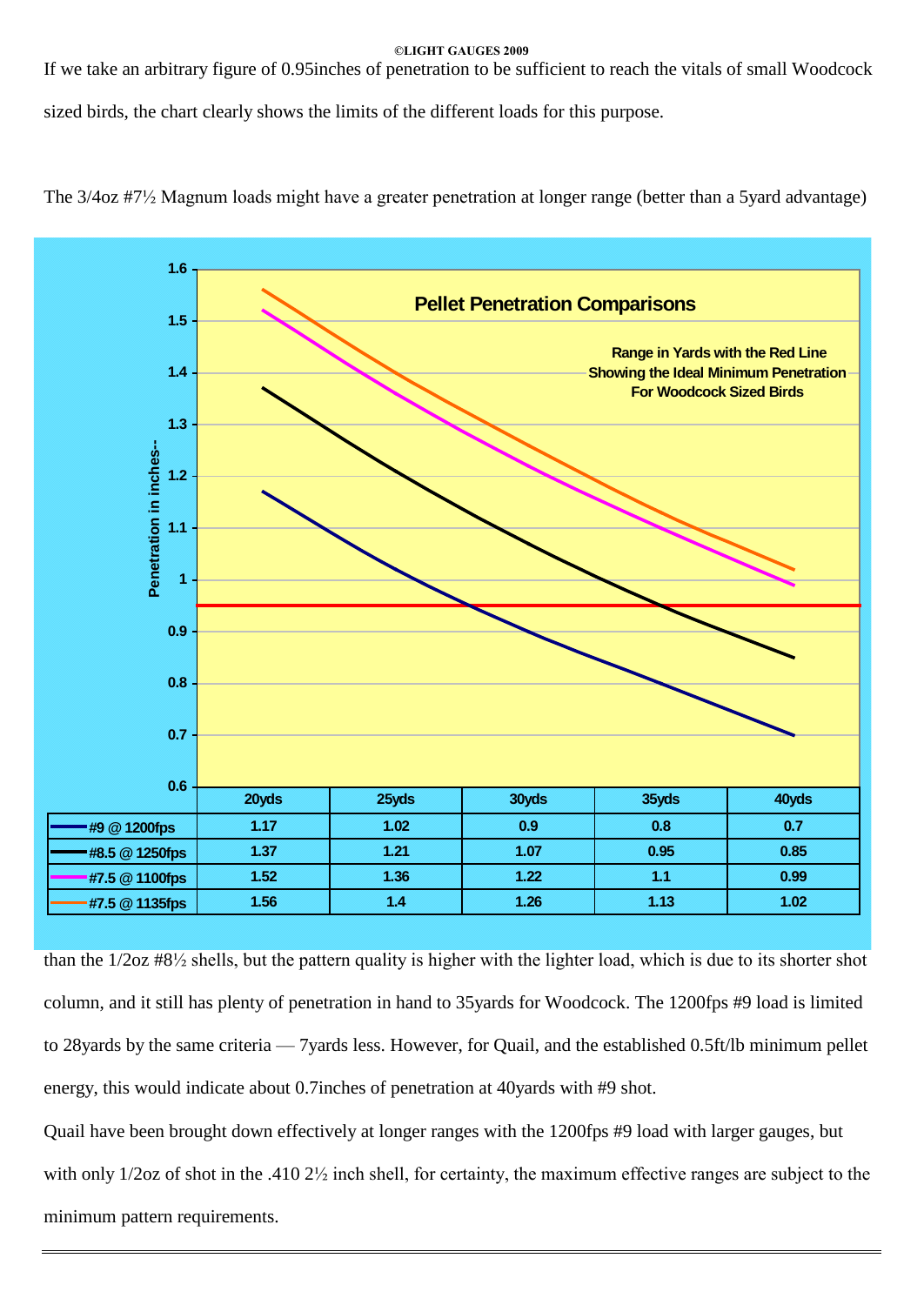If we take an arbitrary figure of 0.95inches of penetration to be sufficient to reach the vitals of small Woodcock

sized birds, the chart clearly shows the limits of the different loads for this purpose.



The 3/4oz #7½ Magnum loads might have a greater penetration at longer range (better than a 5yard advantage)

than the 1/2oz #8½ shells, but the pattern quality is higher with the lighter load, which is due to its shorter shot column, and it still has plenty of penetration in hand to 35yards for Woodcock. The 1200fps #9 load is limited to 28yards by the same criteria – 7yards less. However, for Quail, and the established 0.5ft/lb minimum pellet energy, this would indicate about 0.7inches of penetration at 40yards with #9 shot.

Quail have been brought down effectively at longer ranges with the 1200fps #9 load with larger gauges, but with only  $1/2$ oz of shot in the .410  $2\frac{1}{2}$  inch shell, for certainty, the maximum effective ranges are subject to the minimum pattern requirements.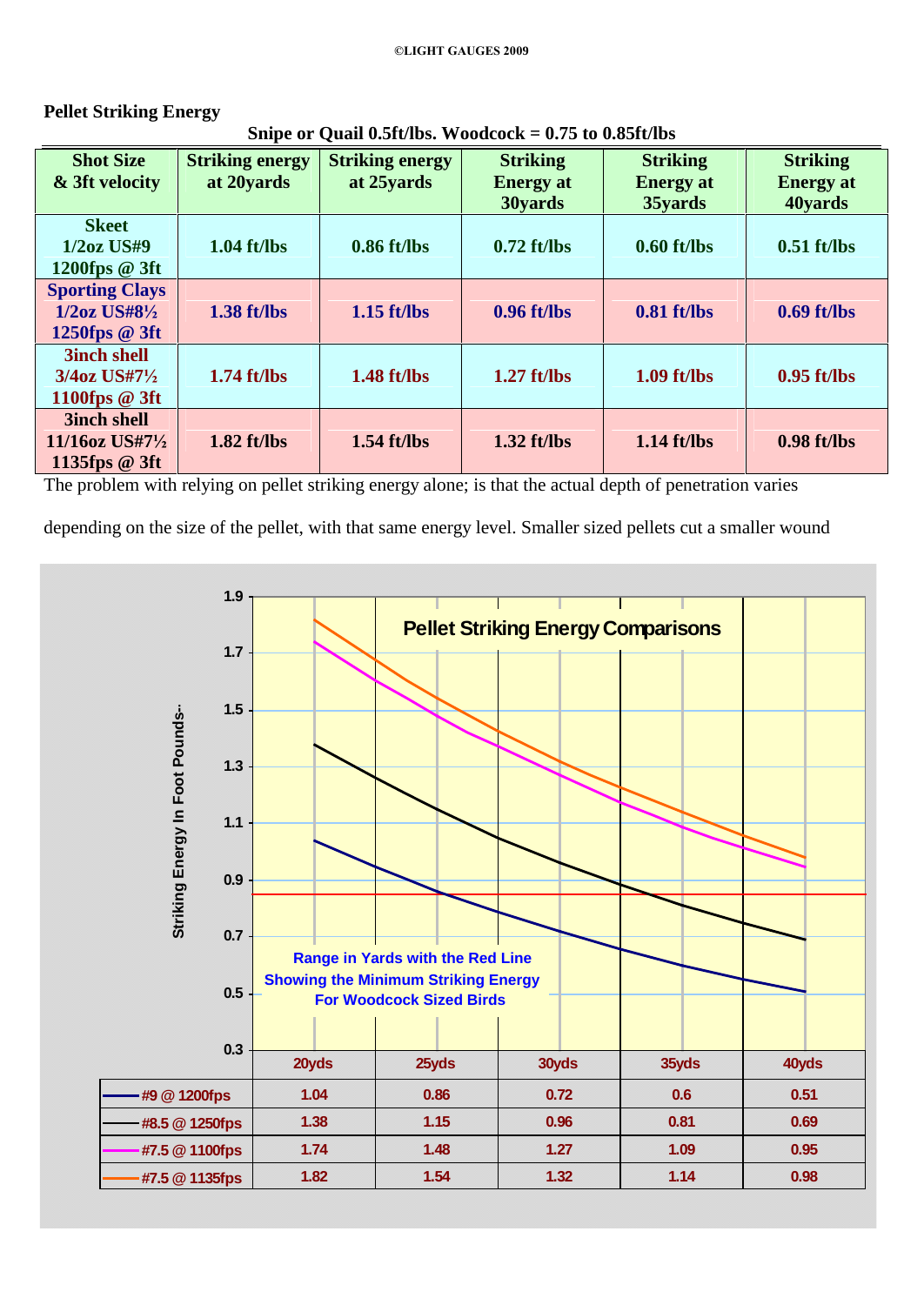| Snipe or Quail 0.5ft/lbs. Woodcock = $0.75$ to 0.85ft/lbs             |                                      |                                      |                                                |                                                |                                                |  |  |  |  |
|-----------------------------------------------------------------------|--------------------------------------|--------------------------------------|------------------------------------------------|------------------------------------------------|------------------------------------------------|--|--|--|--|
| <b>Shot Size</b><br>& 3ft velocity                                    | <b>Striking energy</b><br>at 20yards | <b>Striking energy</b><br>at 25yards | <b>Striking</b><br><b>Energy</b> at<br>30yards | <b>Striking</b><br><b>Energy</b> at<br>35yards | <b>Striking</b><br><b>Energy</b> at<br>40yards |  |  |  |  |
| <b>Skeet</b><br>$1/2oz$ US#9<br>1200fps $@3ft$                        | $1.04$ ft/lbs                        | $0.86$ ft/lbs                        | $0.72$ ft/lbs                                  | $0.60$ ft/lbs                                  | $0.51$ ft/lbs                                  |  |  |  |  |
| <b>Sporting Clays</b><br>$1/2$ oz US#8 $\frac{1}{2}$<br>1250fps @ 3ft | $1.38$ ft/lbs                        | $1.15$ ft/lbs                        | $0.96$ ft/lbs                                  | $0.81$ ft/lbs                                  | $0.69$ ft/lbs                                  |  |  |  |  |
| <b>3inch shell</b><br>$3/4$ oz US#7 $\frac{1}{2}$<br>1100fps $@3ft$   | $1.74$ ft/lbs                        | $1.48$ ft/lbs                        | $1.27$ ft/lbs                                  | $1.09$ ft/lbs                                  | $0.95$ ft/lbs                                  |  |  |  |  |

# **Pellet Striking Energy**

**3inch shell**

**1135fps @ 3ft**

**11/16oz US#7½**

The problem with relying on pellet striking energy alone; is that the actual depth of penetration varies

depending on the size of the pellet, with that same energy level. Smaller sized pellets cut a smaller wound

**1.82 ft/lbs 1.54 ft/lbs 1.32 ft/lbs 1.14 ft/lbs 0.98 ft/lbs**

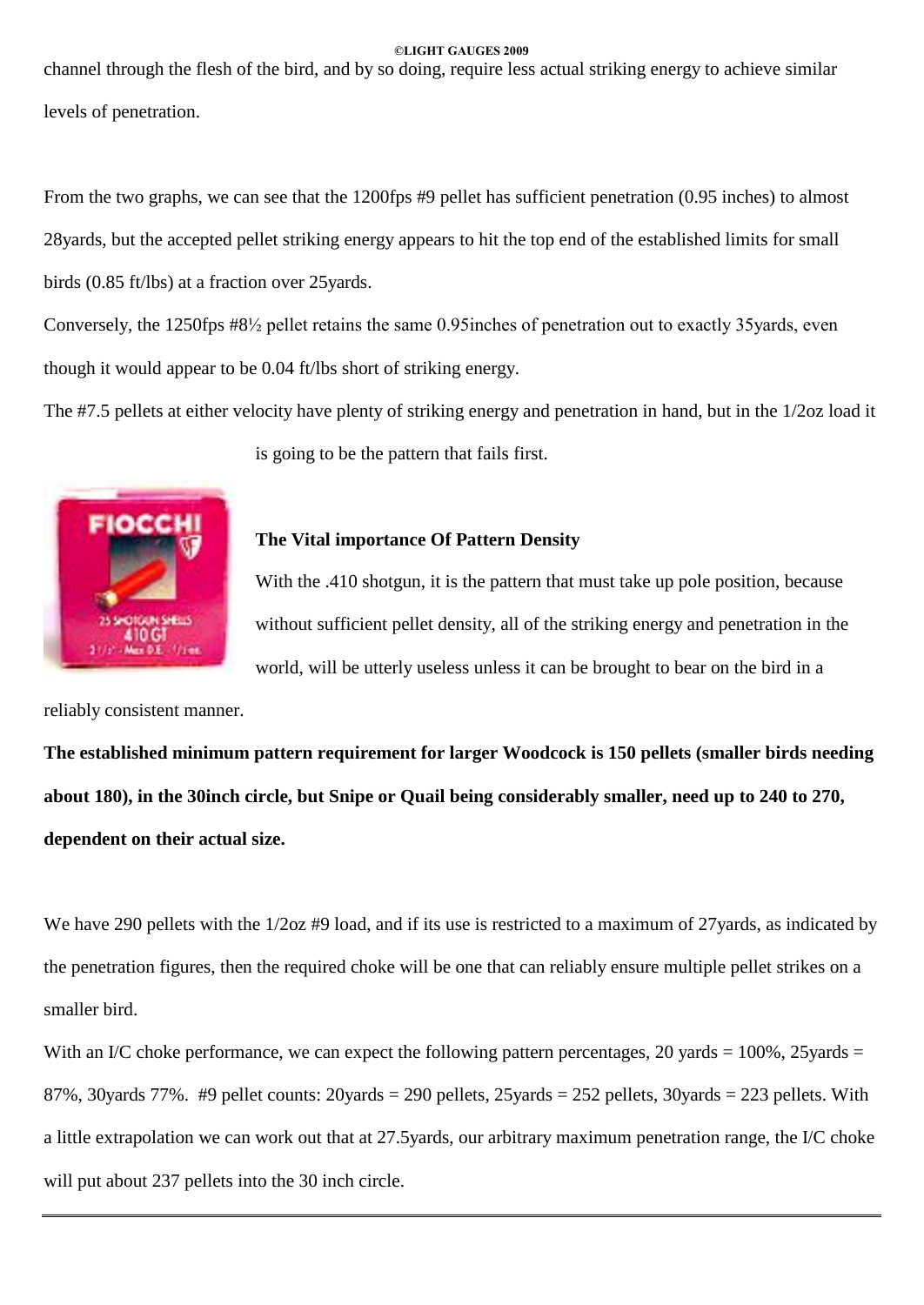channel through the flesh of the bird, and by so doing, require less actual striking energy to achieve similar levels of penetration.

From the two graphs, we can see that the 1200fps #9 pellet has sufficient penetration (0.95 inches) to almost 28yards, but the accepted pellet striking energy appears to hit the top end of the established limits for small birds (0.85 ft/lbs) at a fraction over 25yards.

Conversely, the 1250fps #8½ pellet retains the same 0.95inches of penetration out to exactly 35yards, even though it would appear to be 0.04 ft/lbs short of striking energy.

The #7.5 pellets at either velocity have plenty of striking energy and penetration in hand, but in the 1/2oz load it





# **The Vital importance Of Pattern Density**

With the .410 shotgun, it is the pattern that must take up pole position, because without sufficient pellet density, all of the striking energy and penetration in the world, will be utterly useless unless it can be brought to bear on the bird in a

reliably consistent manner.

**The established minimum pattern requirement for larger Woodcock is 150 pellets (smaller birds needing** about 180), in the 30inch circle, but Snipe or Quail being considerably smaller, need up to 240 to 270, **dependent on their actual size.**

We have 290 pellets with the  $1/2$ oz #9 load, and if its use is restricted to a maximum of 27yards, as indicated by the penetration figures, then the required choke will be one that can reliably ensure multiple pellet strikes on a smaller bird.

With an I/C choke performance, we can expect the following pattern percentages, 20 yards  $= 100\%$ , 25 yards  $=$ 87%, 30yards 77%. #9 pellet counts: 20yards = 290 pellets, 25yards = 252 pellets, 30yards = 223 pellets. With a little extrapolation we can work out that at 27.5yards, our arbitrary maximum penetration range, the I/C choke will put about 237 pellets into the 30 inch circle.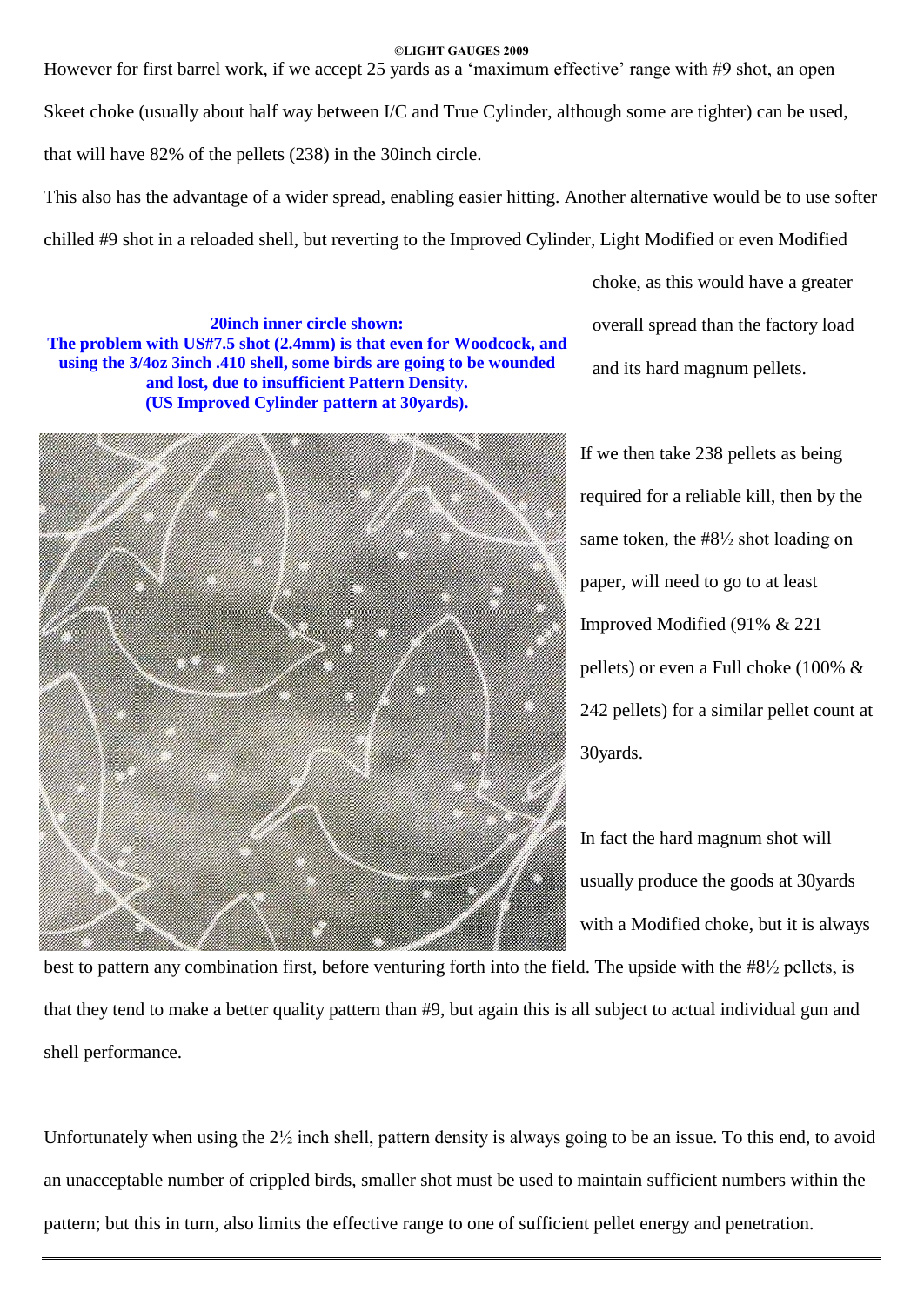However for first barrel work, if we accept 25 yards as a 'maximum effective' range with  $#9$  shot, an open Skeet choke (usually about half way between I/C and True Cylinder, although some are tighter) can be used, that will have 82% of the pellets (238) in the 30inch circle.

This also has the advantage of a wider spread, enabling easier hitting. Another alternative would be to use softer chilled #9 shot in a reloaded shell, but reverting to the Improved Cylinder, Light Modified or even Modified

**20inch inner circle shown: The problem with US#7.5 shot (2.4mm) is that even for Woodcock, and using the 3/4oz 3inch .410 shell, some birds are going to be wounded and lost, due to insufficient Pattern Density. (US Improved Cylinder pattern at 30yards).**



choke, as this would have a greater overall spread than the factory load and its hard magnum pellets.

If we then take 238 pellets as being required for a reliable kill, then by the same token, the #8½ shot loading on paper, will need to go to at least Improved Modified (91% & 221 pellets) or even a Full choke (100% & 242 pellets) for a similar pellet count at 30yards.

In fact the hard magnum shot will usually produce the goods at 30yards with a Modified choke, but it is always

best to pattern any combination first, before venturing forth into the field. The upside with the #8½ pellets, is that they tend to make a better quality pattern than #9, but again this is all subject to actual individual gun and shell performance.

Unfortunately when using the 2½ inch shell, pattern density is always going to be an issue. To this end, to avoid an unacceptable number of crippled birds, smaller shot must be used to maintain sufficient numbers within the pattern; but this in turn, also limits the effective range to one of sufficient pellet energy and penetration.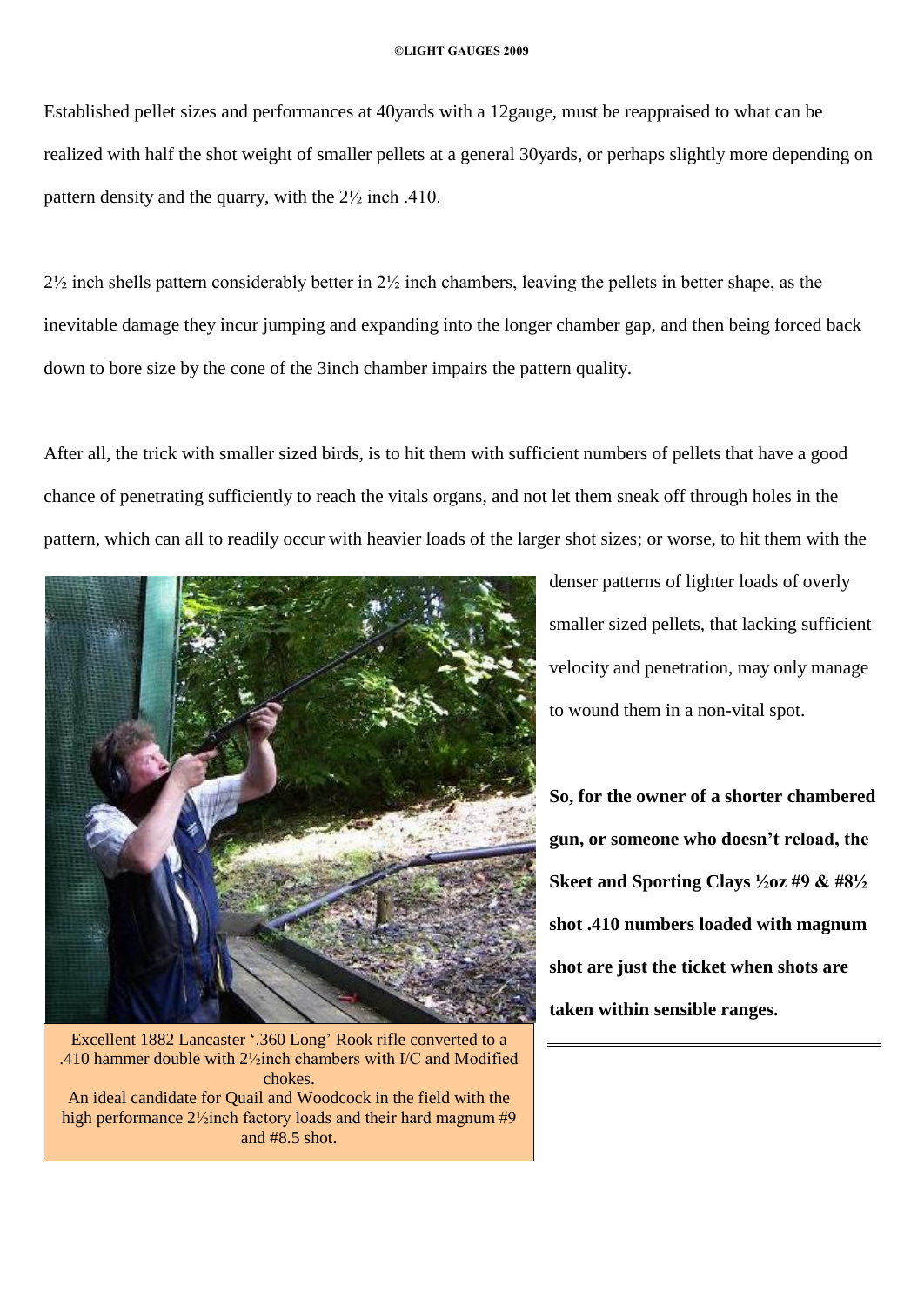Established pellet sizes and performances at 40yards with a 12gauge, must be reappraised to what can be realized with half the shot weight of smaller pellets at a general 30yards, or perhaps slightly more depending on pattern density and the quarry, with the 2½ inch .410.

 $2\frac{1}{2}$  inch shells pattern considerably better in  $2\frac{1}{2}$  inch chambers, leaving the pellets in better shape, as the inevitable damage they incur jumping and expanding into the longer chamber gap, and then being forced back down to bore size by the cone of the 3inch chamber impairs the pattern quality.

After all, the trick with smaller sized birds, is to hit them with sufficient numbers of pellets that have a good chance of penetrating sufficiently to reach the vitals organs, and not let them sneak off through holes in the pattern, which can all to readily occur with heavier loads of the larger shot sizes; or worse, to hit them with the



Excellent 1882 Lancaster '.360 Long' Rook rifle converted to a .410 hammer double with 2½inch chambers with I/C and Modified chokes. An ideal candidate for Quail and Woodcock in the field with the high performance  $2\frac{1}{2}$ inch factory loads and their hard magnum #9 and #8.5 shot.

denser patterns of lighter loads of overly smaller sized pellets, that lacking sufficient velocity and penetration, may only manage to wound them in a non-vital spot.

**So, for the owner of a shorter chambered gun, or someone who doesnít reload, the Skeet and Sporting Clays ½oz #9 & #8½ shot .410 numbers loaded with magnum shot are just the ticket when shots are taken within sensible ranges.**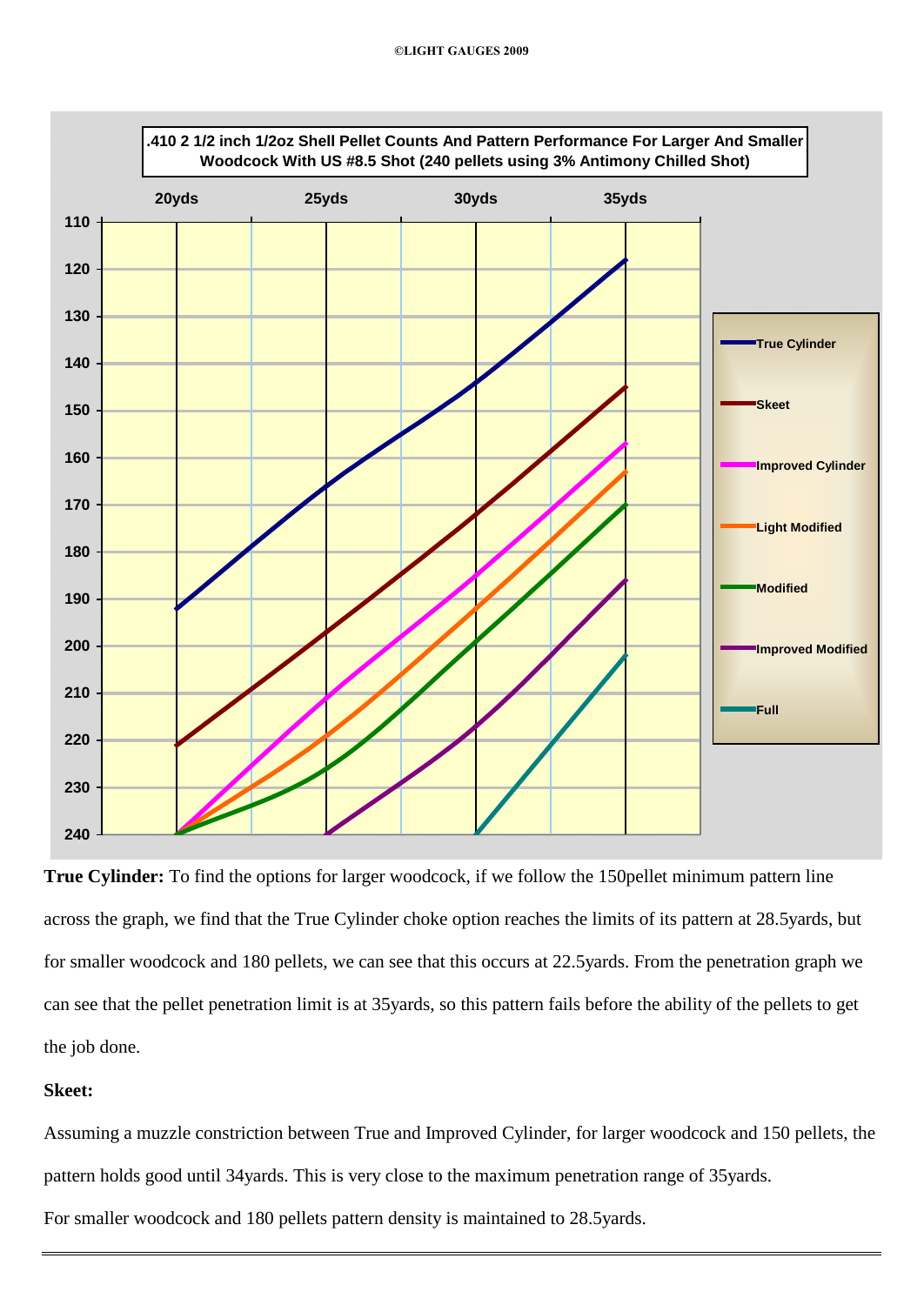

**True Cylinder:** To find the options for larger woodcock, if we follow the 150pellet minimum pattern line across the graph, we find that the True Cylinder choke option reaches the limits of its pattern at 28.5yards, but for smaller woodcock and 180 pellets, we can see that this occurs at 22.5yards. From the penetration graph we can see that the pellet penetration limit is at 35yards, so this pattern fails before the ability of the pellets to get the job done.

# **Skeet:**

Assuming a muzzle constriction between True and Improved Cylinder, for larger woodcock and 150 pellets, the pattern holds good until 34yards. This is very close to the maximum penetration range of 35yards.

For smaller woodcock and 180 pellets pattern density is maintained to 28.5yards.